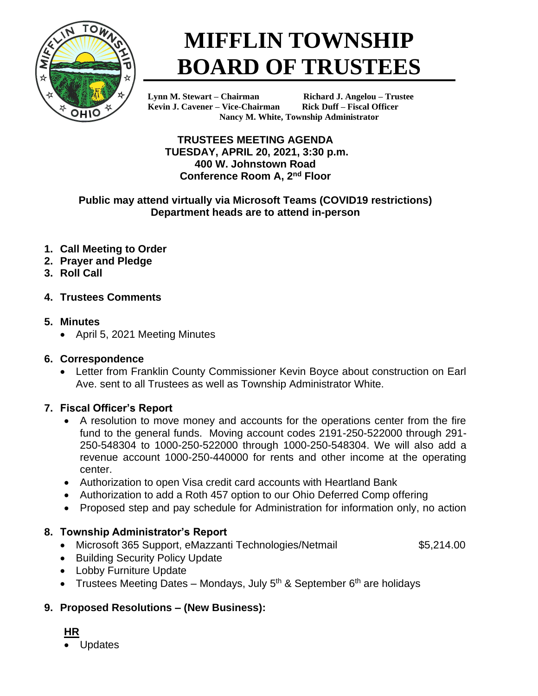

# **MIFFLIN TOWNSHIP BOARD OF TRUSTEES**

**Kevin J. Cavener – Vice-Chairman Rick Duff – Fiscal Officer**

**Lynn M. Stewart – Chairman Richard J. Angelou – Trustee Nancy M. White, Township Administrator**

#### **TRUSTEES MEETING AGENDA TUESDAY, APRIL 20, 2021, 3:30 p.m. 400 W. Johnstown Road Conference Room A, 2nd Floor**

#### **Public may attend virtually via Microsoft Teams (COVID19 restrictions) Department heads are to attend in-person**

- **1. Call Meeting to Order**
- **2. Prayer and Pledge**
- **3. Roll Call**
- **4. Trustees Comments**

## **5. Minutes**

• April 5, 2021 Meeting Minutes

#### **6. Correspondence**

• Letter from Franklin County Commissioner Kevin Boyce about construction on Earl Ave. sent to all Trustees as well as Township Administrator White.

## **7. Fiscal Officer's Report**

- A resolution to move money and accounts for the operations center from the fire fund to the general funds. Moving account codes 2191-250-522000 through 291- 250-548304 to 1000-250-522000 through 1000-250-548304. We will also add a revenue account 1000-250-440000 for rents and other income at the operating center.
- Authorization to open Visa credit card accounts with Heartland Bank
- Authorization to add a Roth 457 option to our Ohio Deferred Comp offering
- Proposed step and pay schedule for Administration for information only, no action

## **8. Township Administrator's Report**

• Microsoft 365 Support, eMazzanti Technologies/Netmail  $$5,214.00$ 

- Building Security Policy Update
- Lobby Furniture Update
- Trustees Meeting Dates Mondays, July  $5<sup>th</sup>$  & September  $6<sup>th</sup>$  are holidays

## **9. Proposed Resolutions – (New Business):**

- **HR**
- Updates